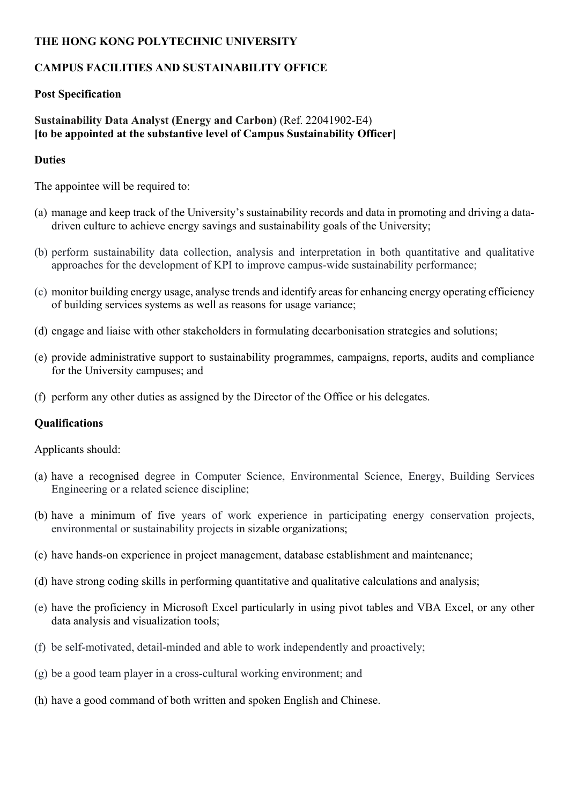### **THE HONG KONG POLYTECHNIC UNIVERSITY**

# **CAMPUS FACILITIES AND SUSTAINABILITY OFFICE**

## **Post Specification**

### **Sustainability Data Analyst (Energy and Carbon)** (Ref. 22041902-E4) **[to be appointed at the substantive level of Campus Sustainability Officer]**

## **Duties**

The appointee will be required to:

- (a) manage and keep track of the University's sustainability records and data in promoting and driving a datadriven culture to achieve energy savings and sustainability goals of the University;
- (b) perform sustainability data collection, analysis and interpretation in both quantitative and qualitative approaches for the development of KPI to improve campus-wide sustainability performance;
- (c) monitor building energy usage, analyse trends and identify areas for enhancing energy operating efficiency of building services systems as well as reasons for usage variance;
- (d) engage and liaise with other stakeholders in formulating decarbonisation strategies and solutions;
- (e) provide administrative support to sustainability programmes, campaigns, reports, audits and compliance for the University campuses; and
- (f) perform any other duties as assigned by the Director of the Office or his delegates.

# **Qualifications**

Applicants should:

- (a) have a recognised degree in Computer Science, Environmental Science, Energy, Building Services Engineering or a related science discipline;
- (b) have a minimum of five years of work experience in participating energy conservation projects, environmental or sustainability projects in sizable organizations;
- (c) have hands-on experience in project management, database establishment and maintenance;
- (d) have strong coding skills in performing quantitative and qualitative calculations and analysis;
- (e) have the proficiency in Microsoft Excel particularly in using pivot tables and VBA Excel, or any other data analysis and visualization tools;
- (f) be self-motivated, detail-minded and able to work independently and proactively;
- (g) be a good team player in a cross-cultural working environment; and
- (h) have a good command of both written and spoken English and Chinese.